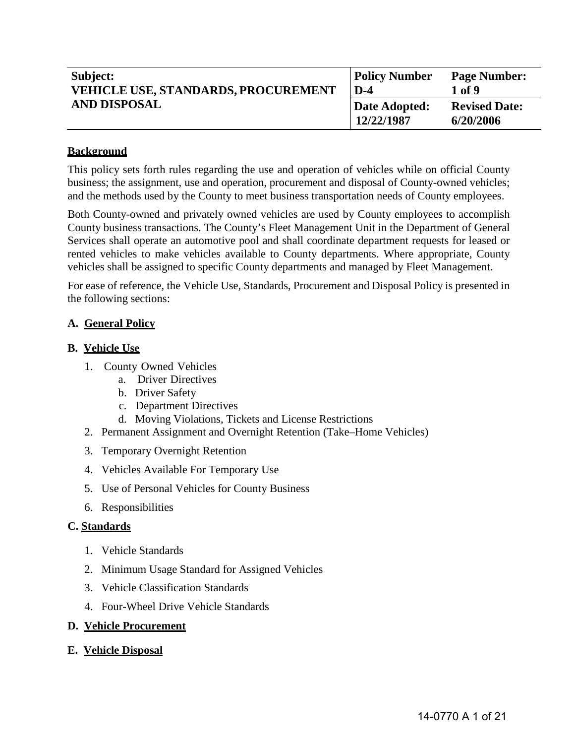| Subject:                                   | <b>Policy Number</b>        | <b>Page Number:</b>               |
|--------------------------------------------|-----------------------------|-----------------------------------|
| <b>VEHICLE USE, STANDARDS, PROCUREMENT</b> | $D-4$                       | 1 of 9                            |
| <b>AND DISPOSAL</b>                        | Date Adopted:<br>12/22/1987 | <b>Revised Date:</b><br>6/20/2006 |

### **Background**

This policy sets forth rules regarding the use and operation of vehicles while on official County business; the assignment, use and operation, procurement and disposal of County-owned vehicles; and the methods used by the County to meet business transportation needs of County employees.

Both County-owned and privately owned vehicles are used by County employees to accomplish County business transactions. The County's Fleet Management Unit in the Department of General Services shall operate an automotive pool and shall coordinate department requests for leased or rented vehicles to make vehicles available to County departments. Where appropriate, County vehicles shall be assigned to specific County departments and managed by Fleet Management.

For ease of reference, the Vehicle Use, Standards, Procurement and Disposal Policy is presented in the following sections:

### **A. General Policy**

### **B. Vehicle Use**

- 1. County Owned Vehicles
	- a. Driver Directives
	- b. Driver Safety
	- c. Department Directives
	- d. Moving Violations, Tickets and License Restrictions
- 2. Permanent Assignment and Overnight Retention (Take–Home Vehicles)
- 3. Temporary Overnight Retention
- 4. Vehicles Available For Temporary Use
- 5. Use of Personal Vehicles for County Business
- 6. Responsibilities

#### **C. Standards**

- 1. Vehicle Standards
- 2. Minimum Usage Standard for Assigned Vehicles
- 3. Vehicle Classification Standards
- 4. Four-Wheel Drive Vehicle Standards
- **D. Vehicle Procurement**
- **E. Vehicle Disposal**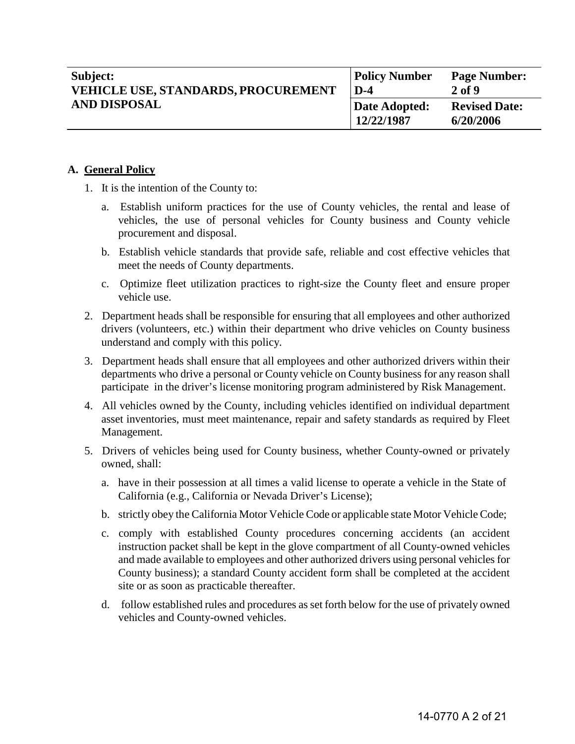| Subject:<br><b>VEHICLE USE, STANDARDS, PROCUREMENT</b><br><b>AND DISPOSAL</b> | <b>Policy Number</b><br>$D-4$ | <b>Page Number:</b><br>$2$ of 9   |
|-------------------------------------------------------------------------------|-------------------------------|-----------------------------------|
|                                                                               | Date Adopted:<br>12/22/1987   | <b>Revised Date:</b><br>6/20/2006 |

### **A. General Policy**

- 1. It is the intention of the County to:
	- a. Establish uniform practices for the use of County vehicles, the rental and lease of vehicles, the use of personal vehicles for County business and County vehicle procurement and disposal.
	- b. Establish vehicle standards that provide safe, reliable and cost effective vehicles that meet the needs of County departments.
	- c. Optimize fleet utilization practices to right-size the County fleet and ensure proper vehicle use.
- 2. Department heads shall be responsible for ensuring that all employees and other authorized drivers (volunteers, etc.) within their department who drive vehicles on County business understand and comply with this policy.
- 3. Department heads shall ensure that all employees and other authorized drivers within their departments who drive a personal or County vehicle on County business for any reason shall participate in the driver's license monitoring program administered by Risk Management.
- 4. All vehicles owned by the County, including vehicles identified on individual department asset inventories, must meet maintenance, repair and safety standards as required by Fleet Management.
- 5. Drivers of vehicles being used for County business, whether County-owned or privately owned, shall:
	- a. have in their possession at all times a valid license to operate a vehicle in the State of California (e.g., California or Nevada Driver's License);
	- b. strictly obey the California Motor Vehicle Code or applicable state Motor Vehicle Code;
	- c. comply with established County procedures concerning accidents (an accident instruction packet shall be kept in the glove compartment of all County-owned vehicles and made available to employees and other authorized drivers using personal vehicles for County business); a standard County accident form shall be completed at the accident site or as soon as practicable thereafter.
	- d. follow established rules and procedures as set forth below for the use of privately owned vehicles and County-owned vehicles.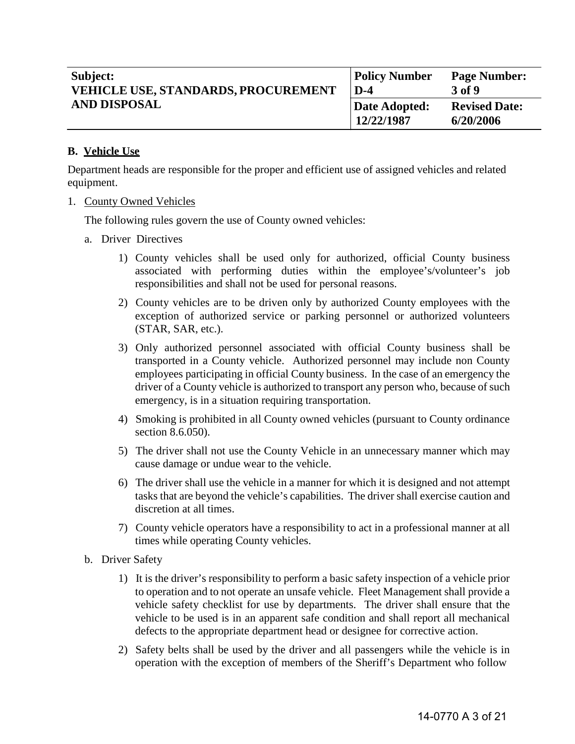| Subject:<br><b>VEHICLE USE, STANDARDS, PROCUREMENT</b><br><b>AND DISPOSAL</b> | <b>Policy Number</b><br>$D-4$ | <b>Page Number:</b><br>3 of 9     |
|-------------------------------------------------------------------------------|-------------------------------|-----------------------------------|
|                                                                               | Date Adopted:<br>12/22/1987   | <b>Revised Date:</b><br>6/20/2006 |

## **B. Vehicle Use**

Department heads are responsible for the proper and efficient use of assigned vehicles and related equipment.

1. County Owned Vehicles

The following rules govern the use of County owned vehicles:

- a. Driver Directives
	- 1) County vehicles shall be used only for authorized, official County business associated with performing duties within the employee's/volunteer's job responsibilities and shall not be used for personal reasons.
	- 2) County vehicles are to be driven only by authorized County employees with the exception of authorized service or parking personnel or authorized volunteers (STAR, SAR, etc.).
	- 3) Only authorized personnel associated with official County business shall be transported in a County vehicle. Authorized personnel may include non County employees participating in official County business. In the case of an emergency the driver of a County vehicle is authorized to transport any person who, because of such emergency, is in a situation requiring transportation.
	- 4) Smoking is prohibited in all County owned vehicles (pursuant to County ordinance section 8.6.050).
	- 5) The driver shall not use the County Vehicle in an unnecessary manner which may cause damage or undue wear to the vehicle.
	- 6) The driver shall use the vehicle in a manner for which it is designed and not attempt tasks that are beyond the vehicle's capabilities. The driver shall exercise caution and discretion at all times.
	- 7) County vehicle operators have a responsibility to act in a professional manner at all times while operating County vehicles.
- b. Driver Safety
	- 1) It is the driver's responsibility to perform a basic safety inspection of a vehicle prior to operation and to not operate an unsafe vehicle. Fleet Management shall provide a vehicle safety checklist for use by departments. The driver shall ensure that the vehicle to be used is in an apparent safe condition and shall report all mechanical defects to the appropriate department head or designee for corrective action.
	- 2) Safety belts shall be used by the driver and all passengers while the vehicle is in operation with the exception of members of the Sheriff's Department who follow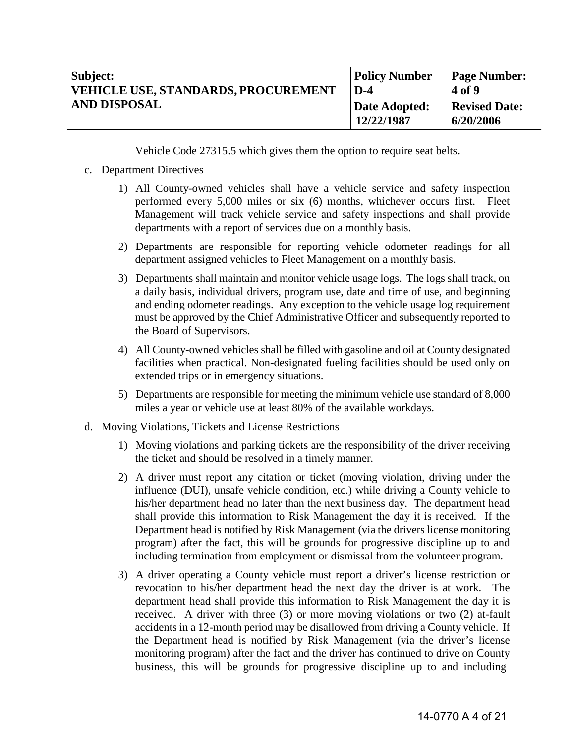| Subject:                                   | <b>Policy Number</b>        | <b>Page Number:</b>               |
|--------------------------------------------|-----------------------------|-----------------------------------|
| <b>VEHICLE USE, STANDARDS, PROCUREMENT</b> | $D-4$                       | 4 of 9                            |
| <b>AND DISPOSAL</b>                        | Date Adopted:<br>12/22/1987 | <b>Revised Date:</b><br>6/20/2006 |

Vehicle Code 27315.5 which gives them the option to require seat belts.

### c. Department Directives

- 1) All County-owned vehicles shall have a vehicle service and safety inspection performed every 5,000 miles or six (6) months, whichever occurs first. Fleet Management will track vehicle service and safety inspections and shall provide departments with a report of services due on a monthly basis.
- 2) Departments are responsible for reporting vehicle odometer readings for all department assigned vehicles to Fleet Management on a monthly basis.
- 3) Departments shall maintain and monitor vehicle usage logs. The logs shall track, on a daily basis, individual drivers, program use, date and time of use, and beginning and ending odometer readings. Any exception to the vehicle usage log requirement must be approved by the Chief Administrative Officer and subsequently reported to the Board of Supervisors.
- 4) All County-owned vehicles shall be filled with gasoline and oil at County designated facilities when practical. Non-designated fueling facilities should be used only on extended trips or in emergency situations.
- 5) Departments are responsible for meeting the minimum vehicle use standard of 8,000 miles a year or vehicle use at least 80% of the available workdays.
- d. Moving Violations, Tickets and License Restrictions
	- 1) Moving violations and parking tickets are the responsibility of the driver receiving the ticket and should be resolved in a timely manner.
	- 2) A driver must report any citation or ticket (moving violation, driving under the influence (DUI), unsafe vehicle condition, etc.) while driving a County vehicle to his/her department head no later than the next business day. The department head shall provide this information to Risk Management the day it is received. If the Department head is notified by Risk Management (via the drivers license monitoring program) after the fact, this will be grounds for progressive discipline up to and including termination from employment or dismissal from the volunteer program.
	- 3) A driver operating a County vehicle must report a driver's license restriction or revocation to his/her department head the next day the driver is at work. The department head shall provide this information to Risk Management the day it is received. A driver with three (3) or more moving violations or two (2) at-fault accidents in a 12-month period may be disallowed from driving a County vehicle. If the Department head is notified by Risk Management (via the driver's license monitoring program) after the fact and the driver has continued to drive on County business, this will be grounds for progressive discipline up to and including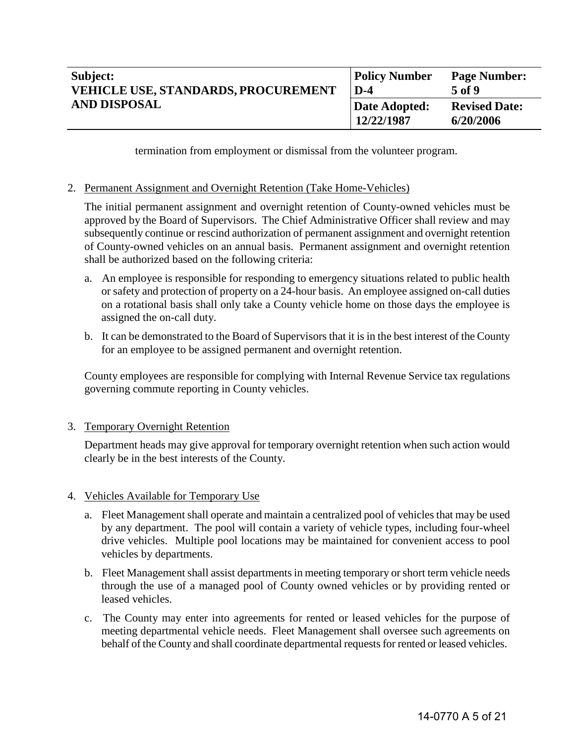| Subject:<br><b>VEHICLE USE, STANDARDS, PROCUREMENT</b><br><b>AND DISPOSAL</b> | <b>Policy Number</b><br>$D-4$ | <b>Page Number:</b><br>5 of 9     |
|-------------------------------------------------------------------------------|-------------------------------|-----------------------------------|
|                                                                               | Date Adopted:<br>12/22/1987   | <b>Revised Date:</b><br>6/20/2006 |

termination from employment or dismissal from the volunteer program.

### 2. Permanent Assignment and Overnight Retention (Take Home-Vehicles)

The initial permanent assignment and overnight retention of County-owned vehicles must be approved by the Board of Supervisors. The Chief Administrative Officer shall review and may subsequently continue or rescind authorization of permanent assignment and overnight retention of County-owned vehicles on an annual basis. Permanent assignment and overnight retention shall be authorized based on the following criteria:

- a. An employee is responsible for responding to emergency situations related to public health or safety and protection of property on a 24-hour basis. An employee assigned on-call duties on a rotational basis shall only take a County vehicle home on those days the employee is assigned the on-call duty.
- b. It can be demonstrated to the Board of Supervisors that it is in the best interest of the County for an employee to be assigned permanent and overnight retention.

County employees are responsible for complying with Internal Revenue Service tax regulations governing commute reporting in County vehicles.

### 3. Temporary Overnight Retention

Department heads may give approval for temporary overnight retention when such action would clearly be in the best interests of the County.

### 4. Vehicles Available for Temporary Use

- a. Fleet Management shall operate and maintain a centralized pool of vehicles that may be used by any department. The pool will contain a variety of vehicle types, including four-wheel drive vehicles. Multiple pool locations may be maintained for convenient access to pool vehicles by departments.
- b. Fleet Management shall assist departments in meeting temporary or short term vehicle needs through the use of a managed pool of County owned vehicles or by providing rented or leased vehicles.
- c. The County may enter into agreements for rented or leased vehicles for the purpose of meeting departmental vehicle needs. Fleet Management shall oversee such agreements on behalf of the County and shall coordinate departmental requests for rented or leased vehicles.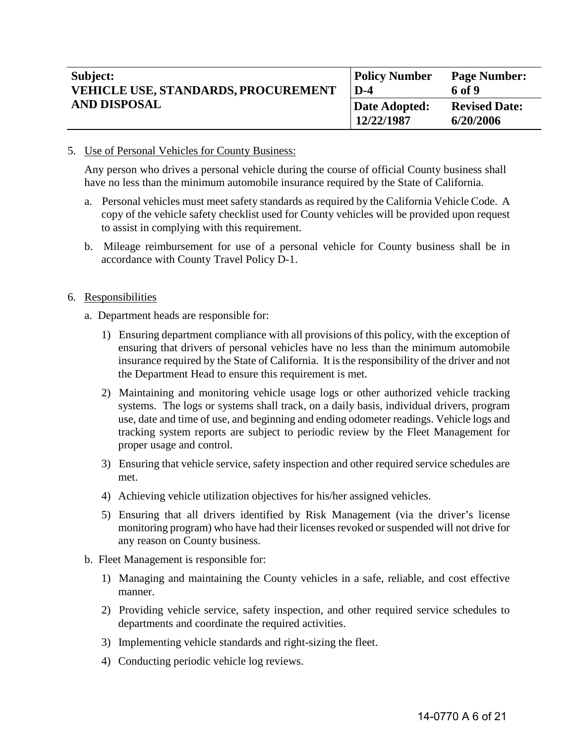| Subject:<br><b>VEHICLE USE, STANDARDS, PROCUREMENT</b><br><b>AND DISPOSAL</b> | <b>Policy Number</b><br>$D-4$ | <b>Page Number:</b><br>6 of 9     |
|-------------------------------------------------------------------------------|-------------------------------|-----------------------------------|
|                                                                               | Date Adopted:<br>12/22/1987   | <b>Revised Date:</b><br>6/20/2006 |

5. Use of Personal Vehicles for County Business:

Any person who drives a personal vehicle during the course of official County business shall have no less than the minimum automobile insurance required by the State of California.

- a. Personal vehicles must meet safety standards as required by the California Vehicle Code. A copy of the vehicle safety checklist used for County vehicles will be provided upon request to assist in complying with this requirement.
- b. Mileage reimbursement for use of a personal vehicle for County business shall be in accordance with County Travel Policy D-1.
- 6. Responsibilities
	- a. Department heads are responsible for:
		- 1) Ensuring department compliance with all provisions of this policy, with the exception of ensuring that drivers of personal vehicles have no less than the minimum automobile insurance required by the State of California. It is the responsibility of the driver and not the Department Head to ensure this requirement is met.
		- 2) Maintaining and monitoring vehicle usage logs or other authorized vehicle tracking systems. The logs or systems shall track, on a daily basis, individual drivers, program use, date and time of use, and beginning and ending odometer readings. Vehicle logs and tracking system reports are subject to periodic review by the Fleet Management for proper usage and control.
		- 3) Ensuring that vehicle service, safety inspection and other required service schedules are met.
		- 4) Achieving vehicle utilization objectives for his/her assigned vehicles.
		- 5) Ensuring that all drivers identified by Risk Management (via the driver's license monitoring program) who have had their licenses revoked or suspended will not drive for any reason on County business.
	- b. Fleet Management is responsible for:
		- 1) Managing and maintaining the County vehicles in a safe, reliable, and cost effective manner.
		- 2) Providing vehicle service, safety inspection, and other required service schedules to departments and coordinate the required activities.
		- 3) Implementing vehicle standards and right-sizing the fleet.
		- 4) Conducting periodic vehicle log reviews.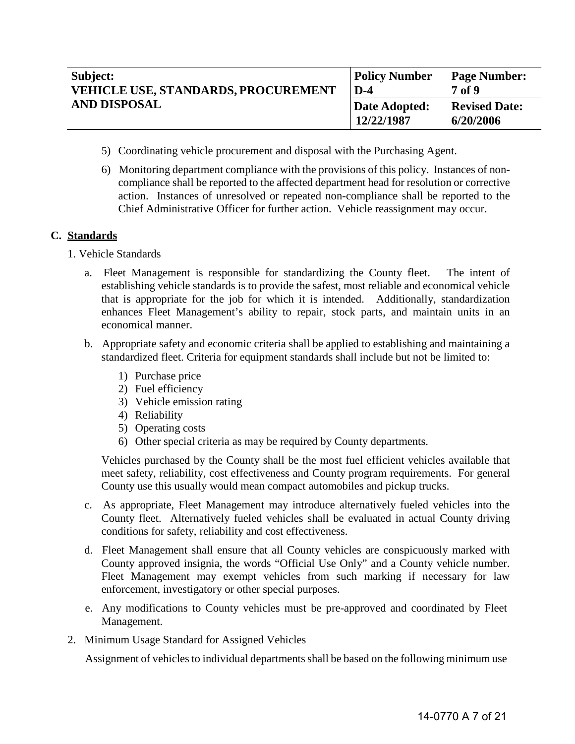| Subject:                                   | <b>Policy Number</b>        | <b>Page Number:</b>               |
|--------------------------------------------|-----------------------------|-----------------------------------|
| <b>VEHICLE USE, STANDARDS, PROCUREMENT</b> | $D-4$                       | <b>7</b> of 9                     |
| <b>AND DISPOSAL</b>                        | Date Adopted:<br>12/22/1987 | <b>Revised Date:</b><br>6/20/2006 |

- 5) Coordinating vehicle procurement and disposal with the Purchasing Agent.
- 6) Monitoring department compliance with the provisions of this policy. Instances of noncompliance shall be reported to the affected department head for resolution or corrective action. Instances of unresolved or repeated non-compliance shall be reported to the Chief Administrative Officer for further action. Vehicle reassignment may occur.

## **C. Standards**

- 1. Vehicle Standards
	- a. Fleet Management is responsible for standardizing the County fleet. The intent of establishing vehicle standards is to provide the safest, most reliable and economical vehicle that is appropriate for the job for which it is intended. Additionally, standardization enhances Fleet Management's ability to repair, stock parts, and maintain units in an economical manner.
	- b. Appropriate safety and economic criteria shall be applied to establishing and maintaining a standardized fleet. Criteria for equipment standards shall include but not be limited to:
		- 1) Purchase price
		- 2) Fuel efficiency
		- 3) Vehicle emission rating
		- 4) Reliability
		- 5) Operating costs
		- 6) Other special criteria as may be required by County departments.

Vehicles purchased by the County shall be the most fuel efficient vehicles available that meet safety, reliability, cost effectiveness and County program requirements. For general County use this usually would mean compact automobiles and pickup trucks.

- c. As appropriate, Fleet Management may introduce alternatively fueled vehicles into the County fleet. Alternatively fueled vehicles shall be evaluated in actual County driving conditions for safety, reliability and cost effectiveness.
- d. Fleet Management shall ensure that all County vehicles are conspicuously marked with County approved insignia, the words "Official Use Only" and a County vehicle number. Fleet Management may exempt vehicles from such marking if necessary for law enforcement, investigatory or other special purposes.
- e. Any modifications to County vehicles must be pre-approved and coordinated by Fleet Management.
- 2. Minimum Usage Standard for Assigned Vehicles

Assignment of vehicles to individual departments shall be based on the following minimum use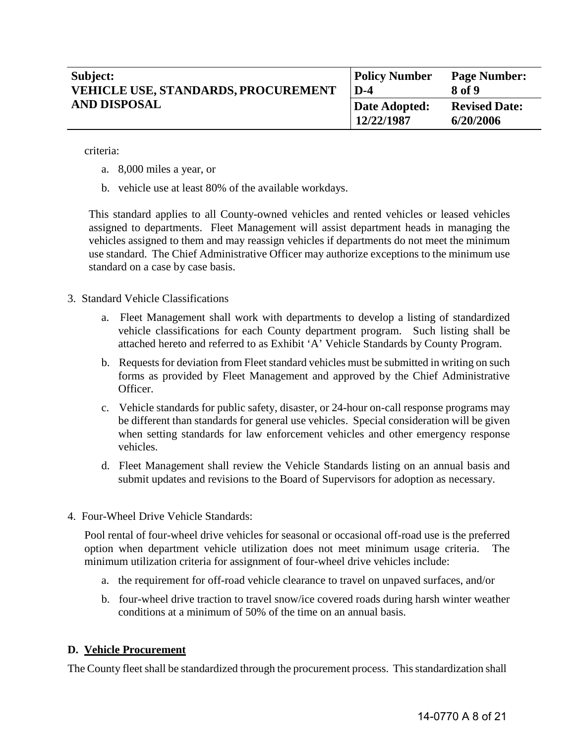| Subject:<br><b>VEHICLE USE, STANDARDS, PROCUREMENT</b><br><b>AND DISPOSAL</b> | <b>Policy Number</b><br>$D-4$ | <b>Page Number:</b><br>8 of 9     |
|-------------------------------------------------------------------------------|-------------------------------|-----------------------------------|
|                                                                               | Date Adopted:<br>12/22/1987   | <b>Revised Date:</b><br>6/20/2006 |

criteria:

- a. 8,000 miles a year, or
- b. vehicle use at least 80% of the available workdays.

This standard applies to all County-owned vehicles and rented vehicles or leased vehicles assigned to departments. Fleet Management will assist department heads in managing the vehicles assigned to them and may reassign vehicles if departments do not meet the minimum use standard. The Chief Administrative Officer may authorize exceptions to the minimum use standard on a case by case basis.

- 3. Standard Vehicle Classifications
	- a. Fleet Management shall work with departments to develop a listing of standardized vehicle classifications for each County department program. Such listing shall be attached hereto and referred to as Exhibit 'A' Vehicle Standards by County Program.
	- b. Requests for deviation from Fleet standard vehicles must be submitted in writing on such forms as provided by Fleet Management and approved by the Chief Administrative Officer.
	- c. Vehicle standards for public safety, disaster, or 24-hour on-call response programs may be different than standards for general use vehicles. Special consideration will be given when setting standards for law enforcement vehicles and other emergency response vehicles.
	- d. Fleet Management shall review the Vehicle Standards listing on an annual basis and submit updates and revisions to the Board of Supervisors for adoption as necessary.
- 4. Four-Wheel Drive Vehicle Standards:

Pool rental of four-wheel drive vehicles for seasonal or occasional off-road use is the preferred option when department vehicle utilization does not meet minimum usage criteria. The minimum utilization criteria for assignment of four-wheel drive vehicles include:

- a. the requirement for off-road vehicle clearance to travel on unpaved surfaces, and/or
- b. four-wheel drive traction to travel snow/ice covered roads during harsh winter weather conditions at a minimum of 50% of the time on an annual basis.

### **D. Vehicle Procurement**

The County fleet shall be standardized through the procurement process. This standardization shall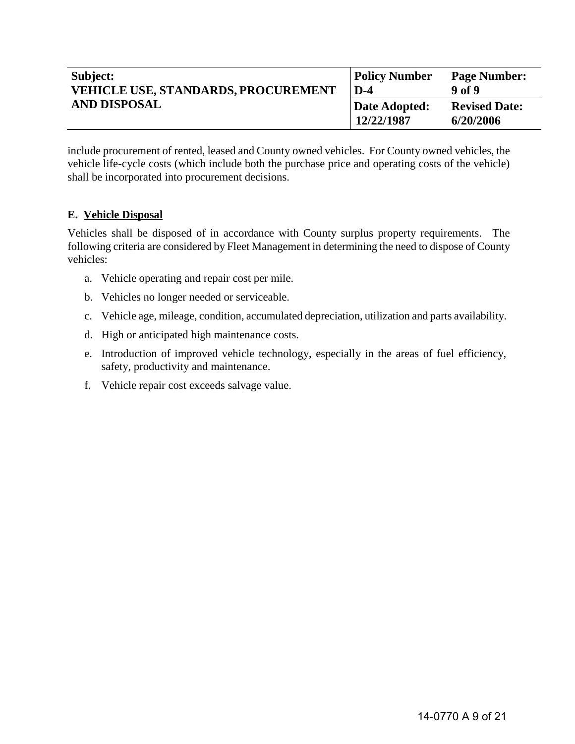| Subject:                                   | <b>Policy Number</b>        | <b>Page Number:</b>               |
|--------------------------------------------|-----------------------------|-----------------------------------|
| <b>VEHICLE USE, STANDARDS, PROCUREMENT</b> | $D-4$                       | 9 of 9                            |
| <b>AND DISPOSAL</b>                        | Date Adopted:<br>12/22/1987 | <b>Revised Date:</b><br>6/20/2006 |

include procurement of rented, leased and County owned vehicles. For County owned vehicles, the vehicle life-cycle costs (which include both the purchase price and operating costs of the vehicle) shall be incorporated into procurement decisions.

# **E. Vehicle Disposal**

Vehicles shall be disposed of in accordance with County surplus property requirements. The following criteria are considered by Fleet Management in determining the need to dispose of County vehicles:

- a. Vehicle operating and repair cost per mile.
- b. Vehicles no longer needed or serviceable.
- c. Vehicle age, mileage, condition, accumulated depreciation, utilization and parts availability.
- d. High or anticipated high maintenance costs.
- e. Introduction of improved vehicle technology, especially in the areas of fuel efficiency, safety, productivity and maintenance.
- f. Vehicle repair cost exceeds salvage value.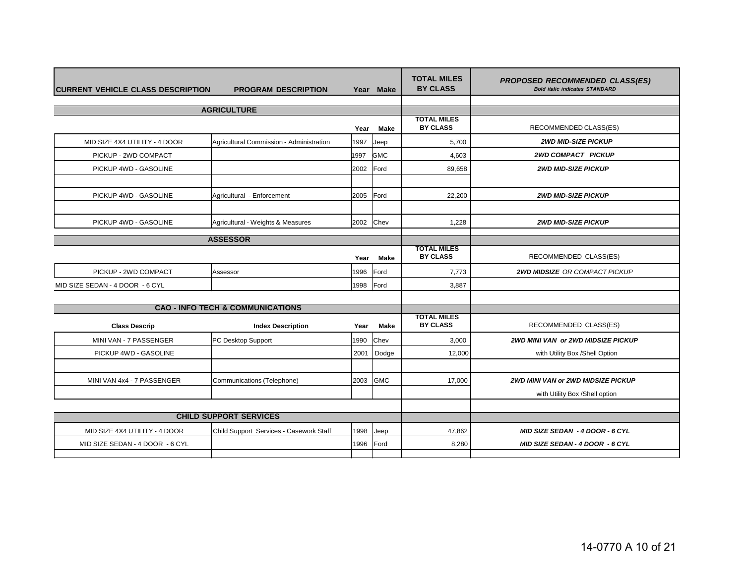| <b>CURRENT VEHICLE CLASS DESCRIPTION</b> | <b>PROGRAM DESCRIPTION</b>                  | Year      | <b>Make</b>  | <b>TOTAL MILES</b><br><b>BY CLASS</b> | <b>PROPOSED RECOMMENDED CLASS(ES)</b><br><b>Bold italic indicates STANDARD</b> |
|------------------------------------------|---------------------------------------------|-----------|--------------|---------------------------------------|--------------------------------------------------------------------------------|
|                                          | <b>AGRICULTURE</b>                          |           |              |                                       |                                                                                |
|                                          |                                             | Year      | <b>Make</b>  | <b>TOTAL MILES</b><br><b>BY CLASS</b> | RECOMMENDED CLASS(ES)                                                          |
| MID SIZE 4X4 UTILITY - 4 DOOR            | Agricultural Commission - Administration    | 1997      | Jeep         | 5,700                                 | <b>2WD MID-SIZE PICKUP</b>                                                     |
| PICKUP - 2WD COMPACT                     |                                             | 1997      | <b>GMC</b>   | 4,603                                 | <b>2WD COMPACT PICKUP</b>                                                      |
| PICKUP 4WD - GASOLINE                    |                                             | 2002      | <b>IFord</b> | 89,658                                | <b>2WD MID-SIZE PICKUP</b>                                                     |
| PICKUP 4WD - GASOLINE                    | Agricultural - Enforcement                  | 2005      | <b>IFord</b> | 22,200                                | <b>2WD MID-SIZE PICKUP</b>                                                     |
|                                          |                                             |           |              |                                       |                                                                                |
| PICKUP 4WD - GASOLINE                    | Agricultural - Weights & Measures           | 2002 Chev |              | 1,228                                 | <b>2WD MID-SIZE PICKUP</b>                                                     |
|                                          | <b>ASSESSOR</b>                             |           |              |                                       |                                                                                |
|                                          |                                             | Year      | <b>Make</b>  | <b>TOTAL MILES</b><br><b>BY CLASS</b> | RECOMMENDED CLASS(ES)                                                          |
| PICKUP - 2WD COMPACT                     | Assessor                                    | 1996      | <b>IFord</b> | 7,773                                 | <b>2WD MIDSIZE OR COMPACT PICKUP</b>                                           |
| MID SIZE SEDAN - 4 DOOR - 6 CYL          |                                             | 1998      | <b>IFord</b> | 3,887                                 |                                                                                |
|                                          |                                             |           |              |                                       |                                                                                |
|                                          | <b>CAO - INFO TECH &amp; COMMUNICATIONS</b> |           |              | <b>TOTAL MILES</b>                    |                                                                                |
| <b>Class Descrip</b>                     | <b>Index Description</b>                    | Year      | Make         | <b>BY CLASS</b>                       | RECOMMENDED CLASS(ES)                                                          |
| MINI VAN - 7 PASSENGER                   | PC Desktop Support                          | 1990      | <b>Chev</b>  | 3,000                                 | <b>2WD MINI VAN or 2WD MIDSIZE PICKUP</b>                                      |
| PICKUP 4WD - GASOLINE                    |                                             | 2001      | Dodge        | 12,000                                | with Utility Box /Shell Option                                                 |
|                                          |                                             |           |              |                                       |                                                                                |
| MINI VAN 4x4 - 7 PASSENGER               | Communications (Telephone)                  | 2003      | <b>GMC</b>   | 17,000                                | <b>2WD MINI VAN or 2WD MIDSIZE PICKUP</b>                                      |
|                                          |                                             |           |              |                                       | with Utility Box /Shell option                                                 |
|                                          |                                             |           |              |                                       |                                                                                |
| <b>CHILD SUPPORT SERVICES</b>            |                                             |           |              |                                       |                                                                                |
| MID SIZE 4X4 UTILITY - 4 DOOR            | Child Support Services - Casework Staff     | 1998      | Jeep         | 47,862                                | <b>MID SIZE SEDAN - 4 DOOR - 6 CYL</b>                                         |
| MID SIZE SEDAN - 4 DOOR - 6 CYL          |                                             | 1996      | Ford         | 8,280                                 | <b>MID SIZE SEDAN - 4 DOOR - 6 CYL</b>                                         |
|                                          |                                             |           |              |                                       |                                                                                |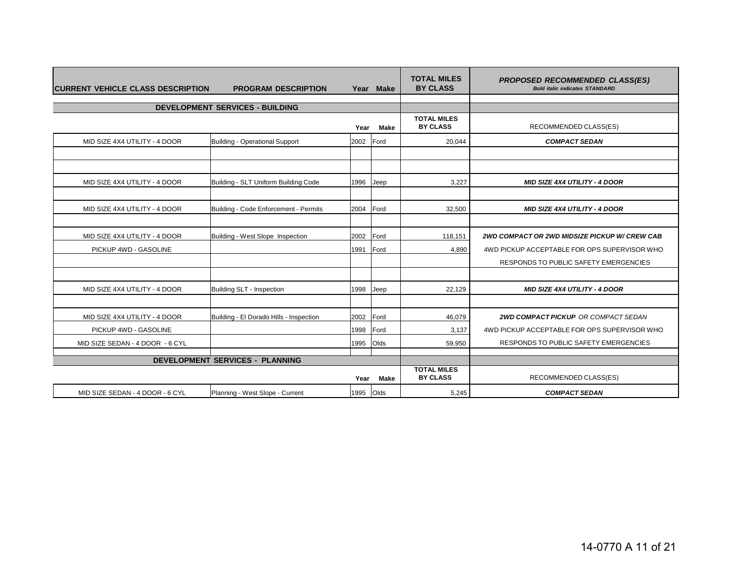| <b>CURRENT VEHICLE CLASS DESCRIPTION</b> | <b>PROGRAM DESCRIPTION</b>              | Year      | <b>Make</b> | <b>TOTAL MILES</b><br><b>BY CLASS</b> | <b>PROPOSED RECOMMENDED CLASS(ES)</b><br><b>Bold italic indicates STANDARD</b> |
|------------------------------------------|-----------------------------------------|-----------|-------------|---------------------------------------|--------------------------------------------------------------------------------|
|                                          | <b>DEVELOPMENT SERVICES - BUILDING</b>  |           |             |                                       |                                                                                |
|                                          |                                         |           |             | <b>TOTAL MILES</b>                    |                                                                                |
|                                          |                                         | Year      | Make        | <b>BY CLASS</b>                       | RECOMMENDED CLASS(ES)                                                          |
| MID SIZE 4X4 UTILITY - 4 DOOR            | <b>Building - Operational Support</b>   | 2002 Ford |             | 20,044                                | <b>COMPACT SEDAN</b>                                                           |
|                                          |                                         |           |             |                                       |                                                                                |
|                                          |                                         |           |             |                                       |                                                                                |
| MID SIZE 4X4 UTILITY - 4 DOOR            | Building - SLT Uniform Building Code    | 1996      | Jeep        | 3,227                                 | <b>MID SIZE 4X4 UTILITY - 4 DOOR</b>                                           |
|                                          |                                         |           |             |                                       |                                                                                |
| MID SIZE 4X4 UTILITY - 4 DOOR            | Building - Code Enforcement - Permits   | 2004      | Ford        | 32,500                                | <b>MID SIZE 4X4 UTILITY - 4 DOOR</b>                                           |
|                                          |                                         |           |             |                                       |                                                                                |
| MID SIZE 4X4 UTILITY - 4 DOOR            | Building - West Slope Inspection        | 2002      | Ford        | 118,151                               | 2WD COMPACT OR 2WD MIDSIZE PICKUP W/CREW CAB                                   |
| PICKUP 4WD - GASOLINE                    |                                         | 1991      | Ford        | 4,890                                 | 4WD PICKUP ACCEPTABLE FOR OPS SUPERVISOR WHO                                   |
|                                          |                                         |           |             |                                       | RESPONDS TO PUBLIC SAFETY EMERGENCIES                                          |
|                                          |                                         |           |             |                                       |                                                                                |
| MID SIZE 4X4 UTILITY - 4 DOOR            | Building SLT - Inspection               | 1998      | Jeep        | 22,129                                | <b>MID SIZE 4X4 UTILITY - 4 DOOR</b>                                           |
|                                          |                                         |           |             |                                       |                                                                                |
| MID SIZE 4X4 UTILITY - 4 DOOR            | Building - El Dorado Hills - Inspection | 2002      | Ford        | 46,079                                | <b>2WD COMPACT PICKUP OR COMPACT SEDAN</b>                                     |
| PICKUP 4WD - GASOLINE                    |                                         | 1998      | Ford        | 3,137                                 | 4WD PICKUP ACCEPTABLE FOR OPS SUPERVISOR WHO                                   |
| MID SIZE SEDAN - 4 DOOR - 6 CYL          |                                         | 1995      | Olds        | 59,950                                | RESPONDS TO PUBLIC SAFETY EMERGENCIES                                          |
|                                          | <b>DEVELOPMENT SERVICES - PLANNING</b>  |           |             |                                       |                                                                                |
|                                          |                                         |           |             | <b>TOTAL MILES</b>                    |                                                                                |
|                                          |                                         | Year      | Make        | <b>BY CLASS</b>                       | RECOMMENDED CLASS(ES)                                                          |
| MID SIZE SEDAN - 4 DOOR - 6 CYL          | Planning - West Slope - Current         | 1995      | Olds        | 5,245                                 | <b>COMPACT SEDAN</b>                                                           |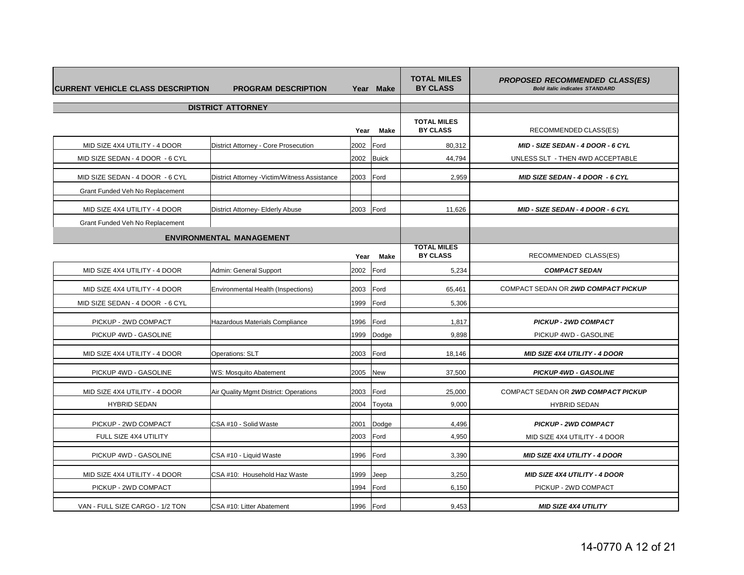| <b>CURRENT VEHICLE CLASS DESCRIPTION</b> | <b>PROGRAM DESCRIPTION</b>                    |      | Year Make    | <b>TOTAL MILES</b><br><b>BY CLASS</b> | <b>PROPOSED RECOMMENDED CLASS(ES)</b><br><b>Bold italic indicates STANDARD</b> |
|------------------------------------------|-----------------------------------------------|------|--------------|---------------------------------------|--------------------------------------------------------------------------------|
|                                          | <b>DISTRICT ATTORNEY</b>                      |      |              |                                       |                                                                                |
|                                          |                                               | Year | <b>Make</b>  | <b>TOTAL MILES</b><br><b>BY CLASS</b> | RECOMMENDED CLASS(ES)                                                          |
| MID SIZE 4X4 UTILITY - 4 DOOR            | District Attorney - Core Prosecution          | 2002 | Ford         | 80,312                                | MID - SIZE SEDAN - 4 DOOR - 6 CYL                                              |
| MID SIZE SEDAN - 4 DOOR - 6 CYL          |                                               | 2002 | <b>Buick</b> | 44,794                                | UNLESS SLT - THEN 4WD ACCEPTABLE                                               |
| MID SIZE SEDAN - 4 DOOR - 6 CYL          | District Attorney - Victim/Witness Assistance | 2003 | Ford         | 2,959                                 | MID SIZE SEDAN - 4 DOOR - 6 CYL                                                |
| Grant Funded Veh No Replacement          |                                               |      |              |                                       |                                                                                |
| MID SIZE 4X4 UTILITY - 4 DOOR            | District Attorney- Elderly Abuse              | 2003 | Ford         | 11,626                                | MID - SIZE SEDAN - 4 DOOR - 6 CYL                                              |
| Grant Funded Veh No Replacement          |                                               |      |              |                                       |                                                                                |
|                                          | <b>ENVIRONMENTAL MANAGEMENT</b>               |      |              |                                       |                                                                                |
|                                          |                                               | Year | Make         | <b>TOTAL MILES</b><br><b>BY CLASS</b> | RECOMMENDED CLASS(ES)                                                          |
| MID SIZE 4X4 UTILITY - 4 DOOR            | Admin: General Support                        | 2002 | Ford         | 5,234                                 | <b>COMPACT SEDAN</b>                                                           |
| MID SIZE 4X4 UTILITY - 4 DOOR            | Environmental Health (Inspections)            | 2003 | Ford         | 65,461                                | COMPACT SEDAN OR 2WD COMPACT PICKUP                                            |
| MID SIZE SEDAN - 4 DOOR - 6 CYL          |                                               | 1999 | Ford         | 5,306                                 |                                                                                |
| PICKUP - 2WD COMPACT                     | Hazardous Materials Compliance                | 1996 | Ford         | 1,817                                 | <b>PICKUP - 2WD COMPACT</b>                                                    |
| PICKUP 4WD - GASOLINE                    |                                               | 1999 | Dodge        | 9.898                                 | PICKUP 4WD - GASOLINE                                                          |
| MID SIZE 4X4 UTILITY - 4 DOOR            | Operations: SLT                               | 2003 | Ford         | 18,146                                | <b>MID SIZE 4X4 UTILITY - 4 DOOR</b>                                           |
| PICKUP 4WD - GASOLINE                    | WS: Mosquito Abatement                        | 2005 | <b>New</b>   | 37,500                                | <b>PICKUP 4WD - GASOLINE</b>                                                   |
| MID SIZE 4X4 UTILITY - 4 DOOR            | Air Quality Mgmt District: Operations         | 2003 | Ford         | 25,000                                | COMPACT SEDAN OR 2WD COMPACT PICKUP                                            |
| <b>HYBRID SEDAN</b>                      |                                               | 2004 | Toyota       | 9,000                                 | <b>HYBRID SEDAN</b>                                                            |
| PICKUP - 2WD COMPACT                     | CSA #10 - Solid Waste                         | 2001 | Dodge        | 4,496                                 | <b>PICKUP - 2WD COMPACT</b>                                                    |
| FULL SIZE 4X4 UTILITY                    |                                               | 2003 | Ford         | 4,950                                 | MID SIZE 4X4 UTILITY - 4 DOOR                                                  |
| PICKUP 4WD - GASOLINE                    | CSA #10 - Liquid Waste                        | 1996 | Ford         | 3,390                                 | <b>MID SIZE 4X4 UTILITY - 4 DOOR</b>                                           |
| MID SIZE 4X4 UTILITY - 4 DOOR            | CSA #10: Household Haz Waste                  | 1999 | Jeep         | 3,250                                 | <b>MID SIZE 4X4 UTILITY - 4 DOOR</b>                                           |
| PICKUP - 2WD COMPACT                     |                                               | 1994 | Ford         | 6,150                                 | PICKUP - 2WD COMPACT                                                           |
| VAN - FULL SIZE CARGO - 1/2 TON          | CSA #10: Litter Abatement                     | 1996 | Ford         | 9,453                                 | <b>MID SIZE 4X4 UTILITY</b>                                                    |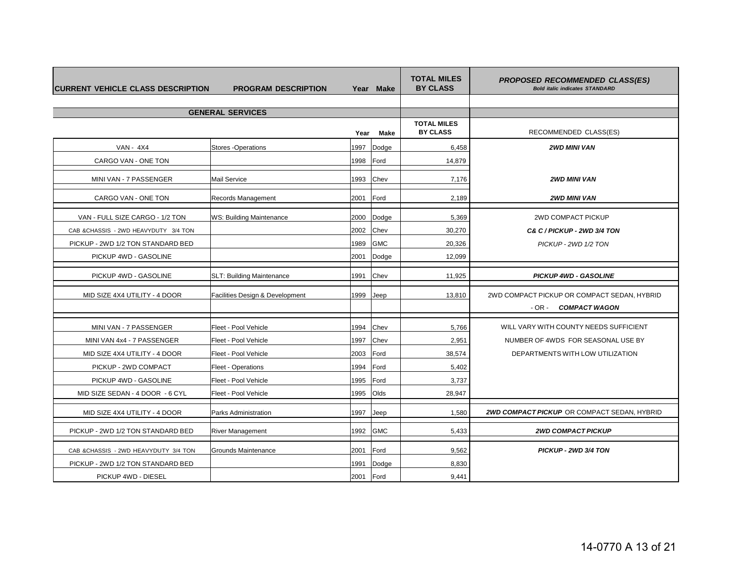| <b>ICURRENT VEHICLE CLASS DESCRIPTION</b> | <b>PROGRAM DESCRIPTION</b>      |      | Year Make  | <b>TOTAL MILES</b><br><b>BY CLASS</b> | <b>PROPOSED RECOMMENDED CLASS(ES)</b><br><b>Bold italic indicates STANDARD</b> |
|-------------------------------------------|---------------------------------|------|------------|---------------------------------------|--------------------------------------------------------------------------------|
|                                           |                                 |      |            |                                       |                                                                                |
|                                           | <b>GENERAL SERVICES</b>         |      |            |                                       |                                                                                |
|                                           |                                 | Year | Make       | <b>TOTAL MILES</b><br><b>BY CLASS</b> | RECOMMENDED CLASS(ES)                                                          |
| <b>VAN - 4X4</b>                          | <b>Stores-Operations</b>        | 1997 | Dodge      | 6,458                                 | <b>2WD MINI VAN</b>                                                            |
| CARGO VAN - ONE TON                       |                                 | 1998 | Ford       | 14,879                                |                                                                                |
| MINI VAN - 7 PASSENGER                    | Mail Service                    | 1993 | Chev       | 7,176                                 | <b>2WD MINI VAN</b>                                                            |
| CARGO VAN - ONE TON                       | Records Management              | 2001 | Ford       | 2,189                                 | <b>2WD MINI VAN</b>                                                            |
| VAN - FULL SIZE CARGO - 1/2 TON           | WS: Building Maintenance        | 2000 | Dodge      | 5,369                                 | 2WD COMPACT PICKUP                                                             |
| CAB &CHASSIS - 2WD HEAVYDUTY 3/4 TON      |                                 | 2002 | Chev       | 30,270                                | C& C / PICKUP - 2WD 3/4 TON                                                    |
| PICKUP - 2WD 1/2 TON STANDARD BED         |                                 | 1989 | <b>GMC</b> | 20,326                                | PICKUP - 2WD 1/2 TON                                                           |
| PICKUP 4WD - GASOLINE                     |                                 | 2001 | Dodge      | 12,099                                |                                                                                |
| PICKUP 4WD - GASOLINE                     | SLT: Building Maintenance       | 1991 | Chev       | 11,925                                | <b>PICKUP 4WD - GASOLINE</b>                                                   |
| MID SIZE 4X4 UTILITY - 4 DOOR             | Facilities Design & Development | 1999 | Jeep       | 13,810                                | 2WD COMPACT PICKUP OR COMPACT SEDAN, HYBRID<br>- OR - COMPACT WAGON            |
| MINI VAN - 7 PASSENGER                    | Fleet - Pool Vehicle            | 1994 | Chev       | 5,766                                 | WILL VARY WITH COUNTY NEEDS SUFFICIENT                                         |
| MINI VAN 4x4 - 7 PASSENGER                | Fleet - Pool Vehicle            | 1997 | Chev       | 2,951                                 | NUMBER OF 4WDS FOR SEASONAL USE BY                                             |
| MID SIZE 4X4 UTILITY - 4 DOOR             | Fleet - Pool Vehicle            | 2003 | Ford       | 38,574                                | DEPARTMENTS WITH LOW UTILIZATION                                               |
| PICKUP - 2WD COMPACT                      | <b>Fleet - Operations</b>       | 1994 | Ford       | 5,402                                 |                                                                                |
| PICKUP 4WD - GASOLINE                     | Fleet - Pool Vehicle            | 1995 | Ford       | 3,737                                 |                                                                                |
| MID SIZE SEDAN - 4 DOOR - 6 CYL           | Fleet - Pool Vehicle            | 1995 | Olds       | 28,947                                |                                                                                |
| MID SIZE 4X4 UTILITY - 4 DOOR             | Parks Administration            | 1997 | Jeep       | 1,580                                 | 2WD COMPACT PICKUP OR COMPACT SEDAN, HYBRID                                    |
| PICKUP - 2WD 1/2 TON STANDARD BED         | <b>River Management</b>         | 1992 | <b>GMC</b> | 5,433                                 | <b>2WD COMPACT PICKUP</b>                                                      |
| CAB &CHASSIS - 2WD HEAVYDUTY 3/4 TON      | Grounds Maintenance             | 2001 | Ford       | 9,562                                 | PICKUP - 2WD 3/4 TON                                                           |
| PICKUP - 2WD 1/2 TON STANDARD BED         |                                 | 1991 | Dodge      | 8,830                                 |                                                                                |
| PICKUP 4WD - DIESEL                       |                                 | 2001 | Ford       | 9,441                                 |                                                                                |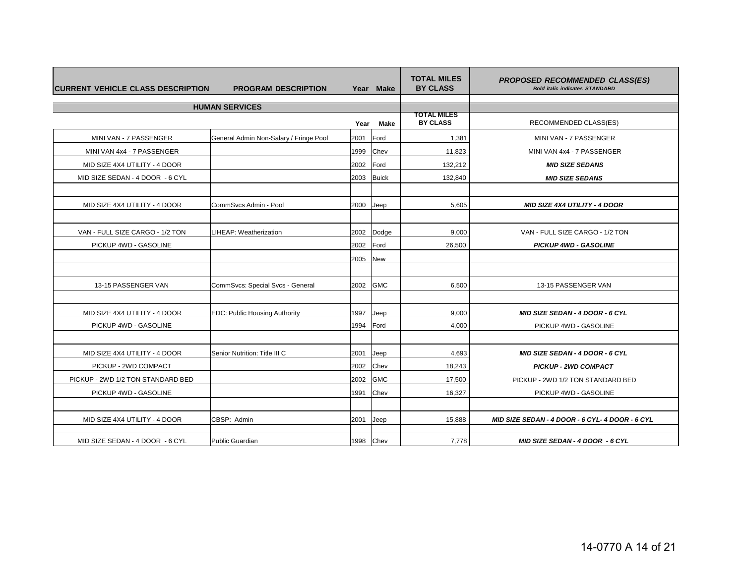| <b>CURRENT VEHICLE CLASS DESCRIPTION</b> | <b>PROGRAM DESCRIPTION</b>             |      | Year Make    | <b>TOTAL MILES</b><br><b>BY CLASS</b> | <b>PROPOSED RECOMMENDED CLASS(ES)</b><br><b>Bold italic indicates STANDARD</b> |
|------------------------------------------|----------------------------------------|------|--------------|---------------------------------------|--------------------------------------------------------------------------------|
|                                          | <b>HUMAN SERVICES</b>                  |      |              |                                       |                                                                                |
|                                          |                                        | Year | <b>Make</b>  | TOTAL MILES<br><b>BY CLASS</b>        | RECOMMENDED CLASS(ES)                                                          |
| MINI VAN - 7 PASSENGER                   | General Admin Non-Salary / Fringe Pool | 2001 | Ford         | 1,381                                 | MINI VAN - 7 PASSENGER                                                         |
| MINI VAN 4x4 - 7 PASSENGER               |                                        | 1999 | Chev         | 11,823                                | MINI VAN 4x4 - 7 PASSENGER                                                     |
| MID SIZE 4X4 UTILITY - 4 DOOR            |                                        | 2002 | Ford         | 132,212                               | <b>MID SIZE SEDANS</b>                                                         |
| MID SIZE SEDAN - 4 DOOR - 6 CYL          |                                        | 2003 | <b>Buick</b> | 132,840                               | <b>MID SIZE SEDANS</b>                                                         |
|                                          |                                        |      |              |                                       |                                                                                |
| MID SIZE 4X4 UTILITY - 4 DOOR            | CommSvcs Admin - Pool                  | 2000 | Jeep         | 5,605                                 | <b>MID SIZE 4X4 UTILITY - 4 DOOR</b>                                           |
|                                          |                                        |      |              |                                       |                                                                                |
| VAN - FULL SIZE CARGO - 1/2 TON          | LIHEAP: Weatherization                 | 2002 | Dodge        | 9,000                                 | VAN - FULL SIZE CARGO - 1/2 TON                                                |
| PICKUP 4WD - GASOLINE                    |                                        | 2002 | Ford         | 26,500                                | <b>PICKUP 4WD - GASOLINE</b>                                                   |
|                                          |                                        | 2005 | <b>New</b>   |                                       |                                                                                |
|                                          |                                        |      |              |                                       |                                                                                |
| 13-15 PASSENGER VAN                      | CommSvcs: Special Svcs - General       | 2002 | <b>GMC</b>   | 6,500                                 | 13-15 PASSENGER VAN                                                            |
|                                          |                                        |      |              |                                       |                                                                                |
| MID SIZE 4X4 UTILITY - 4 DOOR            | <b>EDC: Public Housing Authority</b>   | 1997 | Jeep         | 9,000                                 | <b>MID SIZE SEDAN - 4 DOOR - 6 CYL</b>                                         |
| PICKUP 4WD - GASOLINE                    |                                        | 1994 | Ford         | 4,000                                 | PICKUP 4WD - GASOLINE                                                          |
|                                          |                                        |      |              |                                       |                                                                                |
| MID SIZE 4X4 UTILITY - 4 DOOR            | Senior Nutrition: Title III C          | 2001 | Jeep         | 4,693                                 | <b>MID SIZE SEDAN - 4 DOOR - 6 CYL</b>                                         |
| PICKUP - 2WD COMPACT                     |                                        | 2002 | Chev         | 18,243                                | <b>PICKUP - 2WD COMPACT</b>                                                    |
| PICKUP - 2WD 1/2 TON STANDARD BED        |                                        | 2002 | <b>GMC</b>   | 17,500                                | PICKUP - 2WD 1/2 TON STANDARD BED                                              |
| PICKUP 4WD - GASOLINE                    |                                        | 1991 | Chev         | 16,327                                | PICKUP 4WD - GASOLINE                                                          |
|                                          |                                        |      |              |                                       |                                                                                |
| MID SIZE 4X4 UTILITY - 4 DOOR            | CBSP: Admin                            | 2001 | Jeep         | 15,888                                | MID SIZE SEDAN - 4 DOOR - 6 CYL- 4 DOOR - 6 CYL                                |
| MID SIZE SEDAN - 4 DOOR - 6 CYL          | <b>Public Guardian</b>                 | 1998 | Chev         | 7,778                                 | <b>MID SIZE SEDAN - 4 DOOR - 6 CYL</b>                                         |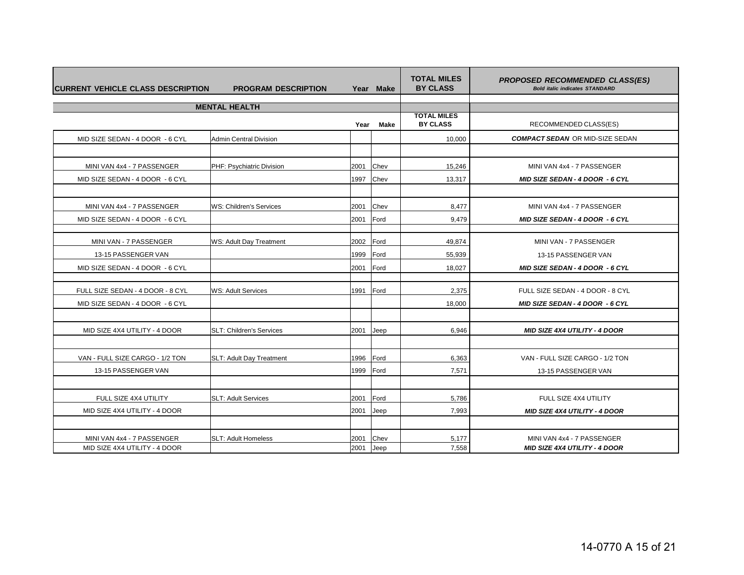| <b>CURRENT VEHICLE CLASS DESCRIPTION</b> | <b>PROGRAM DESCRIPTION</b>      |      | Year Make   | <b>TOTAL MILES</b><br><b>BY CLASS</b> | <b>PROPOSED RECOMMENDED CLASS(ES)</b><br><b>Bold italic indicates STANDARD</b> |
|------------------------------------------|---------------------------------|------|-------------|---------------------------------------|--------------------------------------------------------------------------------|
|                                          | <b>MENTAL HEALTH</b>            |      |             |                                       |                                                                                |
|                                          |                                 |      |             | <b>TOTAL MILES</b>                    |                                                                                |
|                                          |                                 | Year | <b>Make</b> | <b>BY CLASS</b>                       | RECOMMENDED CLASS(ES)                                                          |
| MID SIZE SEDAN - 4 DOOR - 6 CYL          | <b>Admin Central Division</b>   |      |             | 10.000                                | <b>COMPACT SEDAN OR MID-SIZE SEDAN</b>                                         |
|                                          |                                 |      |             |                                       |                                                                                |
| MINI VAN 4x4 - 7 PASSENGER               | PHF: Psychiatric Division       | 2001 | Chev        | 15,246                                | MINI VAN 4x4 - 7 PASSENGER                                                     |
| MID SIZE SEDAN - 4 DOOR - 6 CYL          |                                 | 1997 | Chev        | 13,317                                | <b>MID SIZE SEDAN - 4 DOOR - 6 CYL</b>                                         |
|                                          |                                 |      |             |                                       |                                                                                |
| MINI VAN 4x4 - 7 PASSENGER               | WS: Children's Services         | 2001 | Chev        | 8.477                                 | MINI VAN 4x4 - 7 PASSENGER                                                     |
| MID SIZE SEDAN - 4 DOOR - 6 CYL          |                                 | 2001 | Ford        | 9,479                                 | <b>MID SIZE SEDAN - 4 DOOR - 6 CYL</b>                                         |
|                                          |                                 |      |             |                                       |                                                                                |
| MINI VAN - 7 PASSENGER                   | <b>WS: Adult Day Treatment</b>  | 2002 | Ford        | 49,874                                | MINI VAN - 7 PASSENGER                                                         |
| 13-15 PASSENGER VAN                      |                                 | 1999 | Ford        | 55,939                                | 13-15 PASSENGER VAN                                                            |
| MID SIZE SEDAN - 4 DOOR - 6 CYL          |                                 | 2001 | Ford        | 18,027                                | MID SIZE SEDAN - 4 DOOR - 6 CYL                                                |
|                                          |                                 |      |             |                                       |                                                                                |
| FULL SIZE SEDAN - 4 DOOR - 8 CYL         | <b>WS: Adult Services</b>       | 1991 | Ford        | 2,375                                 | FULL SIZE SEDAN - 4 DOOR - 8 CYL                                               |
| MID SIZE SEDAN - 4 DOOR - 6 CYL          |                                 |      |             | 18,000                                | MID SIZE SEDAN - 4 DOOR - 6 CYL                                                |
|                                          |                                 |      |             |                                       |                                                                                |
| MID SIZE 4X4 UTILITY - 4 DOOR            | <b>SLT: Children's Services</b> | 2001 | Jeep        | 6,946                                 | <b>MID SIZE 4X4 UTILITY - 4 DOOR</b>                                           |
|                                          |                                 |      |             |                                       |                                                                                |
| VAN - FULL SIZE CARGO - 1/2 TON          | <b>SLT: Adult Day Treatment</b> | 1996 | Ford        | 6,363                                 | VAN - FULL SIZE CARGO - 1/2 TON                                                |
| 13-15 PASSENGER VAN                      |                                 | 1999 | Ford        | 7,571                                 | 13-15 PASSENGER VAN                                                            |
|                                          |                                 |      |             |                                       |                                                                                |
| FULL SIZE 4X4 UTILITY                    | <b>SLT: Adult Services</b>      | 2001 | Ford        | 5.786                                 | FULL SIZE 4X4 UTILITY                                                          |
| MID SIZE 4X4 UTILITY - 4 DOOR            |                                 | 2001 | Jeep        | 7,993                                 | <b>MID SIZE 4X4 UTILITY - 4 DOOR</b>                                           |
|                                          |                                 |      |             |                                       |                                                                                |
| MINI VAN 4x4 - 7 PASSENGER               | <b>SLT: Adult Homeless</b>      | 2001 | Chev        | 5,177                                 | MINI VAN 4x4 - 7 PASSENGER                                                     |
| MID SIZE 4X4 UTILITY - 4 DOOR            |                                 | 2001 | Jeep        | 7,558                                 | <b>MID SIZE 4X4 UTILITY - 4 DOOR</b>                                           |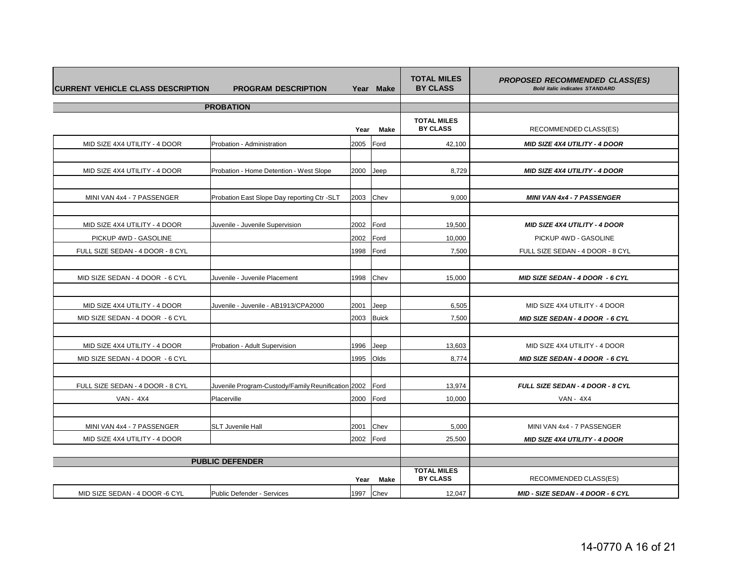| <b>CURRENT VEHICLE CLASS DESCRIPTION</b> | <b>PROGRAM DESCRIPTION</b>                         |           | Year Make    | <b>TOTAL MILES</b><br><b>BY CLASS</b> | <b>PROPOSED RECOMMENDED CLASS(ES)</b><br><b>Bold italic indicates STANDARD</b> |
|------------------------------------------|----------------------------------------------------|-----------|--------------|---------------------------------------|--------------------------------------------------------------------------------|
|                                          | <b>PROBATION</b>                                   |           |              |                                       |                                                                                |
|                                          |                                                    | Year      | <b>Make</b>  | <b>TOTAL MILES</b><br><b>BY CLASS</b> | RECOMMENDED CLASS(ES)                                                          |
| MID SIZE 4X4 UTILITY - 4 DOOR            | Probation - Administration                         | 2005      | Ford         | 42,100                                | <b>MID SIZE 4X4 UTILITY - 4 DOOR</b>                                           |
|                                          |                                                    |           |              |                                       |                                                                                |
| MID SIZE 4X4 UTILITY - 4 DOOR            | Probation - Home Detention - West Slope            | 2000      | Jeep         | 8,729                                 | <b>MID SIZE 4X4 UTILITY - 4 DOOR</b>                                           |
|                                          |                                                    |           |              |                                       |                                                                                |
| MINI VAN 4x4 - 7 PASSENGER               | Probation East Slope Day reporting Ctr -SLT        | 2003      | Chev         | 9,000                                 | <b>MINI VAN 4x4 - 7 PASSENGER</b>                                              |
|                                          |                                                    |           |              |                                       |                                                                                |
| MID SIZE 4X4 UTILITY - 4 DOOR            | Juvenile - Juvenile Supervision                    | 2002      | Ford         | 19,500                                | <b>MID SIZE 4X4 UTILITY - 4 DOOR</b>                                           |
| PICKUP 4WD - GASOLINE                    |                                                    | 2002      | Ford         | 10,000                                | PICKUP 4WD - GASOLINE                                                          |
| FULL SIZE SEDAN - 4 DOOR - 8 CYL         |                                                    | 1998      | Ford         | 7,500                                 | FULL SIZE SEDAN - 4 DOOR - 8 CYL                                               |
|                                          |                                                    |           |              |                                       |                                                                                |
| MID SIZE SEDAN - 4 DOOR - 6 CYL          | Juvenile - Juvenile Placement                      | 1998      | Chev         | 15,000                                | MID SIZE SEDAN - 4 DOOR - 6 CYL                                                |
|                                          |                                                    |           |              |                                       |                                                                                |
| MID SIZE 4X4 UTILITY - 4 DOOR            | Juvenile - Juvenile - AB1913/CPA2000               | 2001      | Jeep         | 6,505                                 | MID SIZE 4X4 UTILITY - 4 DOOR                                                  |
| MID SIZE SEDAN - 4 DOOR - 6 CYL          |                                                    | 2003      | <b>Buick</b> | 7,500                                 | <b>MID SIZE SEDAN - 4 DOOR - 6 CYL</b>                                         |
|                                          |                                                    |           |              |                                       |                                                                                |
| MID SIZE 4X4 UTILITY - 4 DOOR            | Probation - Adult Supervision                      | 1996      | Jeep         | 13,603                                | MID SIZE 4X4 UTILITY - 4 DOOR                                                  |
| MID SIZE SEDAN - 4 DOOR - 6 CYL          |                                                    | 1995      | Olds         | 8,774                                 | MID SIZE SEDAN - 4 DOOR - 6 CYL                                                |
|                                          |                                                    |           |              |                                       |                                                                                |
| FULL SIZE SEDAN - 4 DOOR - 8 CYL         | Juvenile Program-Custody/Family Reunification 2002 |           | Ford         | 13,974                                | FULL SIZE SEDAN - 4 DOOR - 8 CYL                                               |
| <b>VAN - 4X4</b>                         | Placerville                                        | 2000      | Ford         | 10,000                                | VAN - 4X4                                                                      |
|                                          |                                                    |           |              |                                       |                                                                                |
| MINI VAN 4x4 - 7 PASSENGER               | <b>SLT Juvenile Hall</b>                           | 2001      | Chev         | 5,000                                 | MINI VAN 4x4 - 7 PASSENGER                                                     |
| MID SIZE 4X4 UTILITY - 4 DOOR            |                                                    | 2002 Ford |              | 25,500                                | <b>MID SIZE 4X4 UTILITY - 4 DOOR</b>                                           |
|                                          |                                                    |           |              |                                       |                                                                                |
|                                          | <b>PUBLIC DEFENDER</b>                             |           |              | <b>TOTAL MILES</b>                    |                                                                                |
| Make<br>Year                             |                                                    |           |              | <b>BY CLASS</b>                       | RECOMMENDED CLASS(ES)                                                          |
| MID SIZE SEDAN - 4 DOOR -6 CYL           | Public Defender - Services                         | 1997      | Chev         | 12,047                                | MID - SIZE SEDAN - 4 DOOR - 6 CYL                                              |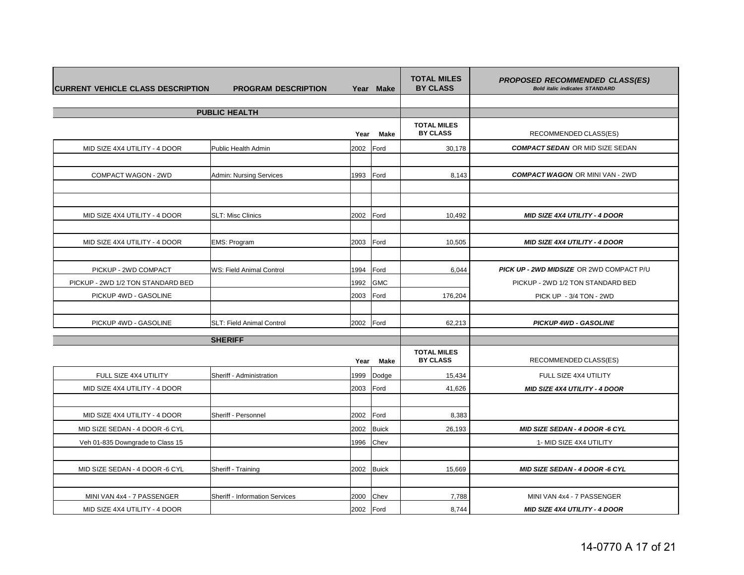| <b>CURRENT VEHICLE CLASS DESCRIPTION</b> | <b>PROGRAM DESCRIPTION</b>      |                                       | Year Make             | <b>TOTAL MILES</b><br><b>BY CLASS</b> | <b>PROPOSED RECOMMENDED CLASS(ES)</b><br><b>Bold italic indicates STANDARD</b> |
|------------------------------------------|---------------------------------|---------------------------------------|-----------------------|---------------------------------------|--------------------------------------------------------------------------------|
|                                          |                                 |                                       |                       |                                       |                                                                                |
|                                          | <b>PUBLIC HEALTH</b>            |                                       |                       |                                       |                                                                                |
|                                          |                                 | <b>TOTAL MILES</b><br><b>BY CLASS</b> | RECOMMENDED CLASS(ES) |                                       |                                                                                |
| MID SIZE 4X4 UTILITY - 4 DOOR            | Public Health Admin             | 2002                                  | Ford                  | 30,178                                | <b>COMPACT SEDAN OR MID SIZE SEDAN</b>                                         |
|                                          |                                 |                                       |                       |                                       |                                                                                |
| COMPACT WAGON - 2WD                      | <b>Admin: Nursing Services</b>  | 1993                                  | Ford                  | 8,143                                 | <b>COMPACT WAGON OR MINI VAN - 2WD</b>                                         |
|                                          |                                 |                                       |                       |                                       |                                                                                |
|                                          |                                 |                                       |                       |                                       |                                                                                |
| MID SIZE 4X4 UTILITY - 4 DOOR            | SLT: Misc Clinics               | 2002                                  | Ford                  | 10,492                                | <b>MID SIZE 4X4 UTILITY - 4 DOOR</b>                                           |
|                                          |                                 |                                       |                       |                                       |                                                                                |
| MID SIZE 4X4 UTILITY - 4 DOOR            | EMS: Program                    | 2003                                  | Ford                  | 10,505                                | <b>MID SIZE 4X4 UTILITY - 4 DOOR</b>                                           |
|                                          |                                 |                                       |                       |                                       |                                                                                |
| PICKUP - 2WD COMPACT                     | <b>WS: Field Animal Control</b> | 1994                                  | Ford                  | 6,044                                 | PICK UP - 2WD MIDSIZE OR 2WD COMPACT P/U                                       |
| PICKUP - 2WD 1/2 TON STANDARD BED        |                                 | 1992                                  | <b>GMC</b>            |                                       | PICKUP - 2WD 1/2 TON STANDARD BED                                              |
| PICKUP 4WD - GASOLINE                    |                                 | 2003                                  | Ford                  | 176,204                               | PICK UP - 3/4 TON - 2WD                                                        |
|                                          |                                 |                                       |                       |                                       |                                                                                |
| PICKUP 4WD - GASOLINE                    | SLT: Field Animal Control       | 2002 Ford                             |                       | 62,213                                | <b>PICKUP 4WD - GASOLINE</b>                                                   |
|                                          | <b>SHERIFF</b>                  |                                       |                       |                                       |                                                                                |
|                                          |                                 |                                       |                       | <b>TOTAL MILES</b>                    |                                                                                |
|                                          |                                 | Year                                  | Make                  | <b>BY CLASS</b>                       | RECOMMENDED CLASS(ES)                                                          |
| FULL SIZE 4X4 UTILITY                    | Sheriff - Administration        | 1999                                  | Dodge                 | 15,434                                | FULL SIZE 4X4 UTILITY                                                          |
| MID SIZE 4X4 UTILITY - 4 DOOR            |                                 | 2003                                  | Ford                  | 41,626                                | <b>MID SIZE 4X4 UTILITY - 4 DOOR</b>                                           |
|                                          |                                 |                                       |                       |                                       |                                                                                |
| MID SIZE 4X4 UTILITY - 4 DOOR            | Sheriff - Personnel             | 2002                                  | Ford                  | 8,383                                 |                                                                                |
| MID SIZE SEDAN - 4 DOOR -6 CYL           |                                 | 2002                                  | <b>Buick</b>          | 26,193                                | MID SIZE SEDAN - 4 DOOR -6 CYL                                                 |
| Veh 01-835 Downgrade to Class 15         |                                 | 1996                                  | Chev                  |                                       | 1- MID SIZE 4X4 UTILITY                                                        |
|                                          |                                 |                                       |                       |                                       |                                                                                |
| MID SIZE SEDAN - 4 DOOR -6 CYL           | Sheriff - Training              | 2002                                  | <b>Buick</b>          | 15,669                                | <b>MID SIZE SEDAN - 4 DOOR -6 CYL</b>                                          |
|                                          |                                 |                                       |                       |                                       |                                                                                |
| MINI VAN 4x4 - 7 PASSENGER               | Sheriff - Information Services  | 2000                                  | Chev                  | 7,788                                 | MINI VAN 4x4 - 7 PASSENGER                                                     |
| MID SIZE 4X4 UTILITY - 4 DOOR            |                                 | 2002                                  | Ford                  | 8,744                                 | <b>MID SIZE 4X4 UTILITY - 4 DOOR</b>                                           |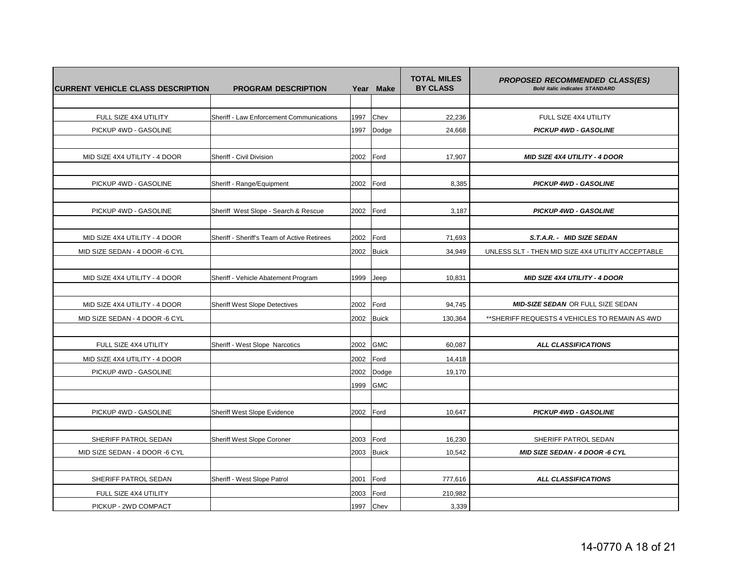| <b>ICURRENT VEHICLE CLASS DESCRIPTION</b> | <b>PROGRAM DESCRIPTION</b>                  | Year | <b>Make</b>  | <b>TOTAL MILES</b><br><b>BY CLASS</b> | <b>PROPOSED RECOMMENDED CLASS(ES)</b><br><b>Bold italic indicates STANDARD</b> |
|-------------------------------------------|---------------------------------------------|------|--------------|---------------------------------------|--------------------------------------------------------------------------------|
|                                           |                                             |      |              |                                       |                                                                                |
| FULL SIZE 4X4 UTILITY                     | Sheriff - Law Enforcement Communications    | 1997 | Chev         | 22,236                                | FULL SIZE 4X4 UTILITY                                                          |
| PICKUP 4WD - GASOLINE                     |                                             | 1997 | Dodge        | 24,668                                | <b>PICKUP 4WD - GASOLINE</b>                                                   |
|                                           |                                             |      |              |                                       |                                                                                |
| MID SIZE 4X4 UTILITY - 4 DOOR             | Sheriff - Civil Division                    | 2002 | Ford         | 17,907                                | <b>MID SIZE 4X4 UTILITY - 4 DOOR</b>                                           |
|                                           |                                             |      |              |                                       |                                                                                |
| PICKUP 4WD - GASOLINE                     | Sheriff - Range/Equipment                   | 2002 | Ford         | 8,385                                 | <b>PICKUP 4WD - GASOLINE</b>                                                   |
|                                           |                                             |      |              |                                       |                                                                                |
| PICKUP 4WD - GASOLINE                     | Sheriff West Slope - Search & Rescue        | 2002 | Ford         | 3,187                                 | <b>PICKUP 4WD - GASOLINE</b>                                                   |
|                                           |                                             |      |              |                                       |                                                                                |
| MID SIZE 4X4 UTILITY - 4 DOOR             | Sheriff - Sheriff's Team of Active Retirees | 2002 | Ford         | 71,693                                | S.T.A.R. - MID SIZE SEDAN                                                      |
| MID SIZE SEDAN - 4 DOOR -6 CYL            |                                             | 2002 | <b>Buick</b> | 34.949                                | UNLESS SLT - THEN MID SIZE 4X4 UTILITY ACCEPTABLE                              |
|                                           |                                             |      |              |                                       |                                                                                |
| MID SIZE 4X4 UTILITY - 4 DOOR             | Sheriff - Vehicle Abatement Program         | 1999 | Jeep         | 10,831                                | <b>MID SIZE 4X4 UTILITY - 4 DOOR</b>                                           |
|                                           |                                             |      |              |                                       |                                                                                |
| MID SIZE 4X4 UTILITY - 4 DOOR             | <b>Sheriff West Slope Detectives</b>        | 2002 | Ford         | 94,745                                | <b>MID-SIZE SEDAN OR FULL SIZE SEDAN</b>                                       |
| MID SIZE SEDAN - 4 DOOR -6 CYL            |                                             | 2002 | <b>Buick</b> | 130,364                               | **SHERIFF REQUESTS 4 VEHICLES TO REMAIN AS 4WD                                 |
|                                           |                                             |      |              |                                       |                                                                                |
| FULL SIZE 4X4 UTILITY                     | Sheriff - West Slope Narcotics              | 2002 | <b>GMC</b>   | 60,087                                | <b>ALL CLASSIFICATIONS</b>                                                     |
| MID SIZE 4X4 UTILITY - 4 DOOR             |                                             | 2002 | Ford         | 14,418                                |                                                                                |
| PICKUP 4WD - GASOLINE                     |                                             | 2002 | Dodge        | 19,170                                |                                                                                |
|                                           |                                             | 1999 | <b>GMC</b>   |                                       |                                                                                |
|                                           |                                             |      |              |                                       |                                                                                |
| PICKUP 4WD - GASOLINE                     | Sheriff West Slope Evidence                 | 2002 | Ford         | 10,647                                | <b>PICKUP 4WD - GASOLINE</b>                                                   |
|                                           |                                             |      |              |                                       |                                                                                |
| SHERIFF PATROL SEDAN                      | Sheriff West Slope Coroner                  | 2003 | Ford         | 16,230                                | SHERIFF PATROL SEDAN                                                           |
| MID SIZE SEDAN - 4 DOOR -6 CYL            |                                             | 2003 | <b>Buick</b> | 10,542                                | MID SIZE SEDAN - 4 DOOR -6 CYL                                                 |
|                                           |                                             |      |              |                                       |                                                                                |
| SHERIFF PATROL SEDAN                      | Sheriff - West Slope Patrol                 | 2001 | Ford         | 777,616                               | <b>ALL CLASSIFICATIONS</b>                                                     |
| FULL SIZE 4X4 UTILITY                     |                                             | 2003 | Ford         | 210,982                               |                                                                                |
| PICKUP - 2WD COMPACT                      |                                             | 1997 | Chev         | 3,339                                 |                                                                                |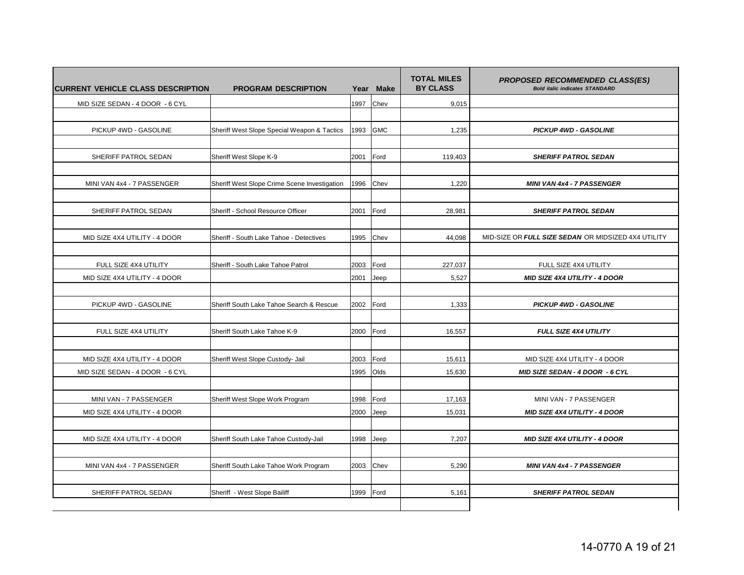| ICURRENT VEHICLE CLASS DESCRIPTION | <b>PROGRAM DESCRIPTION</b>                   |      | Year Make  | <b>TOTAL MILES</b><br><b>BY CLASS</b> | <b>PROPOSED RECOMMENDED CLASS(ES)</b><br><b>Bold italic indicates STANDARD</b> |
|------------------------------------|----------------------------------------------|------|------------|---------------------------------------|--------------------------------------------------------------------------------|
| MID SIZE SEDAN - 4 DOOR - 6 CYL    |                                              | 1997 | Chev       | 9,015                                 |                                                                                |
|                                    |                                              |      |            |                                       |                                                                                |
| PICKUP 4WD - GASOLINE              | Sheriff West Slope Special Weapon & Tactics  | 1993 | <b>GMC</b> | 1,235                                 | <b>PICKUP 4WD - GASOLINE</b>                                                   |
|                                    |                                              |      |            |                                       |                                                                                |
| SHERIFF PATROL SEDAN               | Sheriff West Slope K-9                       | 2001 | Ford       | 119,403                               | <b>SHERIFF PATROL SEDAN</b>                                                    |
|                                    |                                              |      |            |                                       |                                                                                |
| MINI VAN 4x4 - 7 PASSENGER         | Sheriff West Slope Crime Scene Investigation | 1996 | Chev       | 1,220                                 | <b>MINI VAN 4x4 - 7 PASSENGER</b>                                              |
|                                    |                                              |      |            |                                       |                                                                                |
| SHERIFF PATROL SEDAN               | Sheriff - School Resource Officer            | 2001 | Ford       | 28,981                                | <b>SHERIFF PATROL SEDAN</b>                                                    |
|                                    |                                              |      |            |                                       |                                                                                |
| MID SIZE 4X4 UTILITY - 4 DOOR      | Sheriff - South Lake Tahoe - Detectives      | 1995 | Chev       | 44,098                                | MID-SIZE OR FULL SIZE SEDAN OR MIDSIZED 4X4 UTILITY                            |
|                                    |                                              |      |            |                                       |                                                                                |
| FULL SIZE 4X4 UTILITY              | Sheriff - South Lake Tahoe Patrol            | 2003 | Ford       | 227,037                               | FULL SIZE 4X4 UTILITY                                                          |
| MID SIZE 4X4 UTILITY - 4 DOOR      |                                              | 2001 | Jeep       | 5,527                                 | <b>MID SIZE 4X4 UTILITY - 4 DOOR</b>                                           |
|                                    |                                              |      |            |                                       |                                                                                |
| PICKUP 4WD - GASOLINE              | Sheriff South Lake Tahoe Search & Rescue     | 2002 | Ford       | 1,333                                 | <b>PICKUP 4WD - GASOLINE</b>                                                   |
|                                    |                                              |      |            |                                       |                                                                                |
| FULL SIZE 4X4 UTILITY              | Sheriff South Lake Tahoe K-9                 | 2000 | Ford       | 16,557                                | <b>FULL SIZE 4X4 UTILITY</b>                                                   |
|                                    |                                              |      |            |                                       |                                                                                |
| MID SIZE 4X4 UTILITY - 4 DOOR      | Sheriff West Slope Custody- Jail             | 2003 | Ford       | 15,611                                | MID SIZE 4X4 UTILITY - 4 DOOR                                                  |
| MID SIZE SEDAN - 4 DOOR - 6 CYL    |                                              | 1995 | Olds       | 15,630                                | MID SIZE SEDAN - 4 DOOR - 6 CYL                                                |
|                                    |                                              |      |            |                                       |                                                                                |
| MINI VAN - 7 PASSENGER             | Sheriff West Slope Work Program              | 1998 | Ford       | 17,163                                | MINI VAN - 7 PASSENGER                                                         |
| MID SIZE 4X4 UTILITY - 4 DOOR      |                                              | 2000 | Jeep       | 15.031                                | <b>MID SIZE 4X4 UTILITY - 4 DOOR</b>                                           |
|                                    |                                              |      |            |                                       |                                                                                |
| MID SIZE 4X4 UTILITY - 4 DOOR      | Sheriff South Lake Tahoe Custody-Jail        | 1998 | Jeep       | 7,207                                 | <b>MID SIZE 4X4 UTILITY - 4 DOOR</b>                                           |
|                                    |                                              |      |            |                                       |                                                                                |
| MINI VAN 4x4 - 7 PASSENGER         | Sheriff South Lake Tahoe Work Program        | 2003 | Chev       | 5,290                                 | <b>MINI VAN 4x4 - 7 PASSENGER</b>                                              |
|                                    |                                              |      |            |                                       |                                                                                |
| SHERIFF PATROL SEDAN               | Sheriff - West Slope Bailiff                 | 1999 | Ford       | 5,161                                 | <b>SHERIFF PATROL SEDAN</b>                                                    |
|                                    |                                              |      |            |                                       |                                                                                |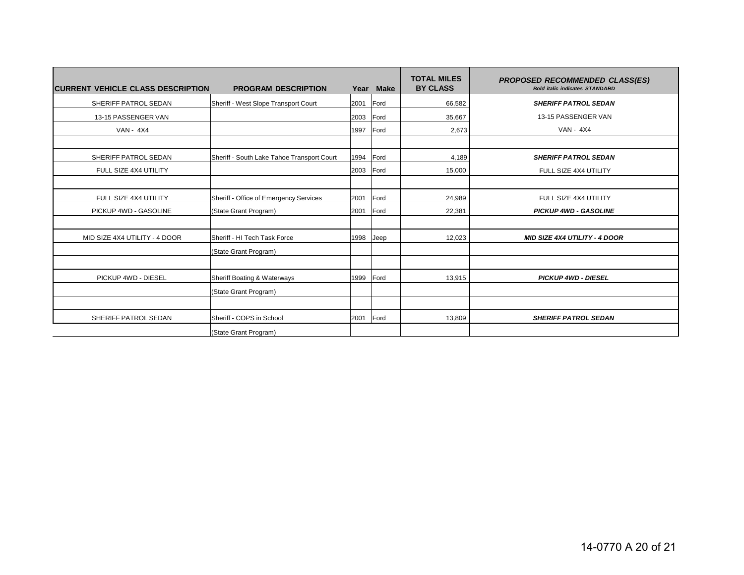| <b>CURRENT VEHICLE CLASS DESCRIPTION</b> | <b>PROGRAM DESCRIPTION</b>                 | Year      | <b>Make</b> | <b>TOTAL MILES</b><br><b>BY CLASS</b> | <b>PROPOSED RECOMMENDED CLASS(ES)</b><br><b>Bold italic indicates STANDARD</b> |
|------------------------------------------|--------------------------------------------|-----------|-------------|---------------------------------------|--------------------------------------------------------------------------------|
| SHERIFF PATROL SEDAN                     | Sheriff - West Slope Transport Court       | 2001      | Ford        | 66,582                                | <b>SHERIFF PATROL SEDAN</b>                                                    |
| 13-15 PASSENGER VAN                      |                                            | 2003      | Ford        | 35,667                                | 13-15 PASSENGER VAN                                                            |
| <b>VAN - 4X4</b>                         |                                            | 1997      | Ford        | 2,673                                 | <b>VAN - 4X4</b>                                                               |
|                                          |                                            |           |             |                                       |                                                                                |
| SHERIFF PATROL SEDAN                     | Sheriff - South Lake Tahoe Transport Court | 1994      | Ford        | 4,189                                 | <b>SHERIFF PATROL SEDAN</b>                                                    |
| FULL SIZE 4X4 UTILITY                    |                                            | 2003      | Ford        | 15,000                                | FULL SIZE 4X4 UTILITY                                                          |
|                                          |                                            |           |             |                                       |                                                                                |
| FULL SIZE 4X4 UTILITY                    | Sheriff - Office of Emergency Services     | 2001      | Ford        | 24,989                                | FULL SIZE 4X4 UTILITY                                                          |
| PICKUP 4WD - GASOLINE                    | (State Grant Program)                      | 2001      | Ford        | 22,381                                | <b>PICKUP 4WD - GASOLINE</b>                                                   |
|                                          |                                            |           |             |                                       |                                                                                |
| MID SIZE 4X4 UTILITY - 4 DOOR            | Sheriff - HI Tech Task Force               | 1998      | Jeep        | 12,023                                | <b>MID SIZE 4X4 UTILITY - 4 DOOR</b>                                           |
|                                          | (State Grant Program)                      |           |             |                                       |                                                                                |
|                                          |                                            |           |             |                                       |                                                                                |
| PICKUP 4WD - DIESEL                      | Sheriff Boating & Waterways                | 1999      | Ford        | 13,915                                | <b>PICKUP 4WD - DIESEL</b>                                                     |
|                                          | (State Grant Program)                      |           |             |                                       |                                                                                |
|                                          |                                            |           |             |                                       |                                                                                |
| SHERIFF PATROL SEDAN                     | Sheriff - COPS in School                   | 2001 Ford |             | 13,809                                | <b>SHERIFF PATROL SEDAN</b>                                                    |
|                                          | (State Grant Program)                      |           |             |                                       |                                                                                |